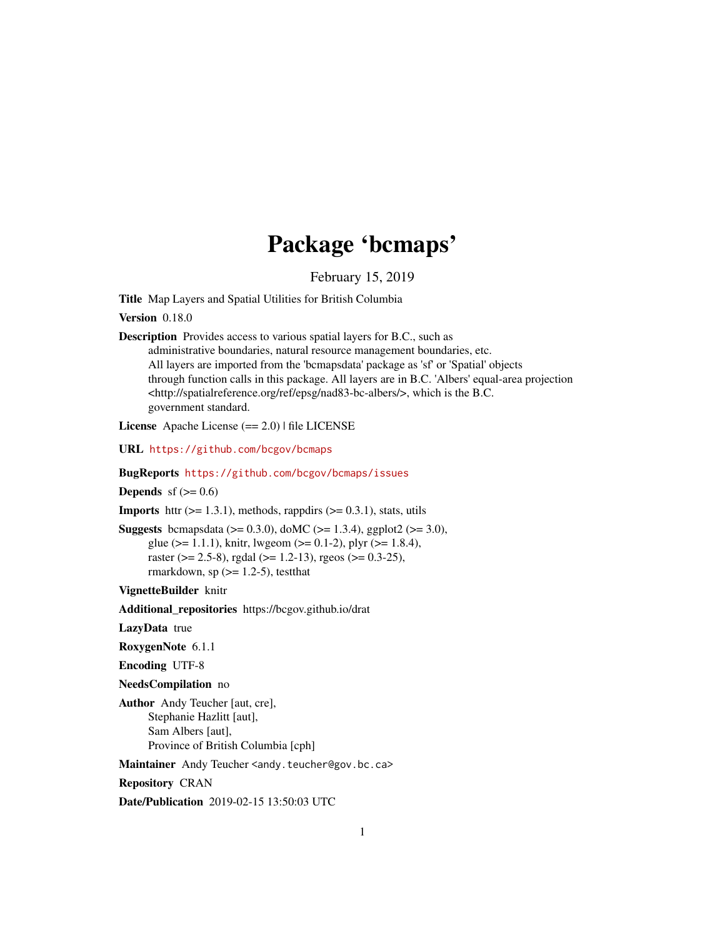# Package 'bcmaps'

February 15, 2019

Title Map Layers and Spatial Utilities for British Columbia

Version 0.18.0

Description Provides access to various spatial layers for B.C., such as

administrative boundaries, natural resource management boundaries, etc. All layers are imported from the 'bcmapsdata' package as 'sf' or 'Spatial' objects through function calls in this package. All layers are in B.C. 'Albers' equal-area projection <http://spatialreference.org/ref/epsg/nad83-bc-albers/>, which is the B.C. government standard.

License Apache License (== 2.0) | file LICENSE

URL <https://github.com/bcgov/bcmaps>

BugReports <https://github.com/bcgov/bcmaps/issues>

**Depends** sf  $(>= 0.6)$ 

**Imports** httr  $(>= 1.3.1)$ , methods, rappdirs  $(>= 0.3.1)$ , stats, utils

**Suggests** bcmapsdata ( $>= 0.3.0$ ), doMC ( $>= 1.3.4$ ), ggplot2 ( $>= 3.0$ ), glue ( $>= 1.1.1$ ), knitr, lwgeom ( $>= 0.1-2$ ), plyr ( $>= 1.8.4$ ), raster ( $>= 2.5-8$ ), rgdal ( $>= 1.2-13$ ), rgeos ( $>= 0.3-25$ ), rmarkdown, sp  $(>= 1.2-5)$ , testthat

VignetteBuilder knitr

Additional\_repositories https://bcgov.github.io/drat

LazyData true

RoxygenNote 6.1.1

Encoding UTF-8

NeedsCompilation no

Author Andy Teucher [aut, cre], Stephanie Hazlitt [aut], Sam Albers [aut], Province of British Columbia [cph]

Maintainer Andy Teucher <andy.teucher@gov.bc.ca>

Repository CRAN

Date/Publication 2019-02-15 13:50:03 UTC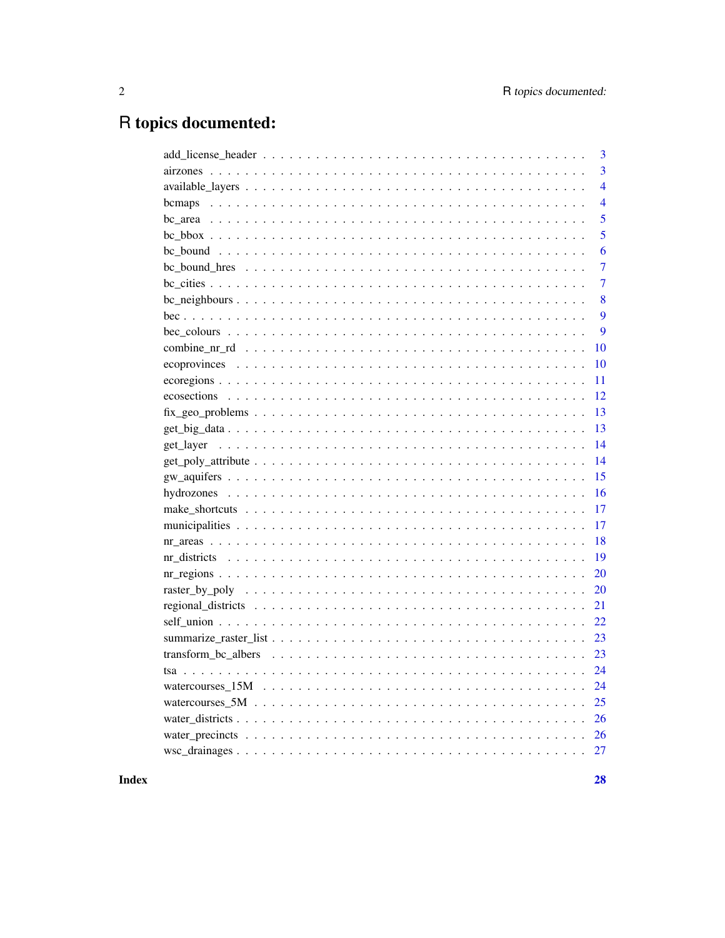# R topics documented:

| 3              |
|----------------|
| $\overline{3}$ |
| $\overline{4}$ |
| 4<br>bcmaps    |
| 5              |
| 5              |
| 6              |
| $\overline{7}$ |
| $\overline{7}$ |
| 8              |
| 9              |
| $\overline{9}$ |
| 10             |
| 10             |
| 11             |
| 12             |
| 13             |
| 13             |
| 14             |
| 14             |
| 15             |
| 16             |
| 17             |
| 17             |
| 18             |
| 19             |
| 20             |
| 20             |
| 21             |
| 22             |
| 23             |
| 23             |
| 24             |
| 24             |
| 25             |
| 26             |
| 26             |
|                |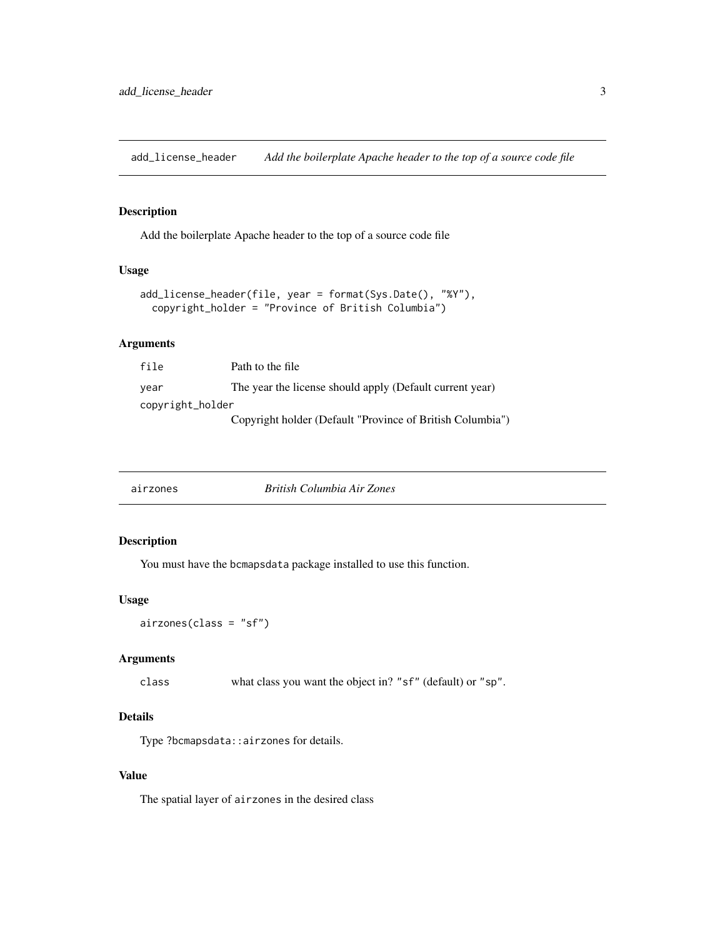<span id="page-2-0"></span>add\_license\_header *Add the boilerplate Apache header to the top of a source code file*

#### Description

Add the boilerplate Apache header to the top of a source code file

#### Usage

```
add_license_header(file, year = format(Sys.Date(), "%Y"),
 copyright_holder = "Province of British Columbia")
```
#### Arguments

| file             | Path to the file                                          |
|------------------|-----------------------------------------------------------|
| year             | The year the license should apply (Default current year)  |
| copyright_holder |                                                           |
|                  | Copyright holder (Default "Province of British Columbia") |

| British Columbia Air Zones<br>airzones |
|----------------------------------------|
|----------------------------------------|

# Description

You must have the bcmapsdata package installed to use this function.

#### Usage

airzones(class = "sf")

#### Arguments

class what class you want the object in? "sf" (default) or "sp".

# Details

Type ?bcmapsdata::airzones for details.

#### Value

The spatial layer of airzones in the desired class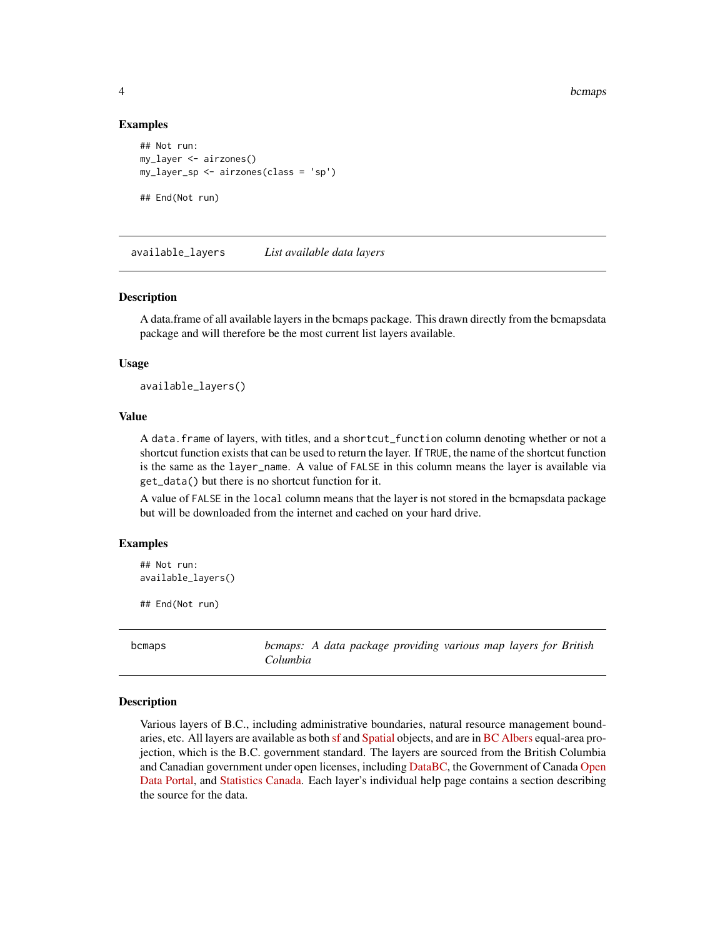#### Examples

```
## Not run:
my_layer <- airzones()
my_layer_sp <- airzones(class = 'sp')
## End(Not run)
```
available\_layers *List available data layers*

#### Description

A data.frame of all available layers in the bcmaps package. This drawn directly from the bcmapsdata package and will therefore be the most current list layers available.

#### Usage

available\_layers()

#### Value

A data.frame of layers, with titles, and a shortcut\_function column denoting whether or not a shortcut function exists that can be used to return the layer. If TRUE, the name of the shortcut function is the same as the layer\_name. A value of FALSE in this column means the layer is available via get\_data() but there is no shortcut function for it.

A value of FALSE in the local column means that the layer is not stored in the bcmapsdata package but will be downloaded from the internet and cached on your hard drive.

#### Examples

```
## Not run:
available_layers()
```
## End(Not run)

bcmaps *bcmaps: A data package providing various map layers for British Columbia*

#### Description

Various layers of B.C., including administrative boundaries, natural resource management boundaries, etc. All layers are available as both [sf](https://CRAN.R-project.org/package=sf) and [Spatial](https://CRAN.R-project.org/package=sp) objects, and are in [BC Albers](http://spatialreference.org/ref/epsg/nad83-bc-albers/) equal-area projection, which is the B.C. government standard. The layers are sourced from the British Columbia and Canadian government under open licenses, including [DataBC,](http://data.gov.bc.ca) the Government of Canada [Open](http://open.canada.ca/en/open-data) [Data Portal,](http://open.canada.ca/en/open-data) and [Statistics Canada.](http://www.statcan.gc.ca/eng/reference/licence-eng) Each layer's individual help page contains a section describing the source for the data.

<span id="page-3-0"></span>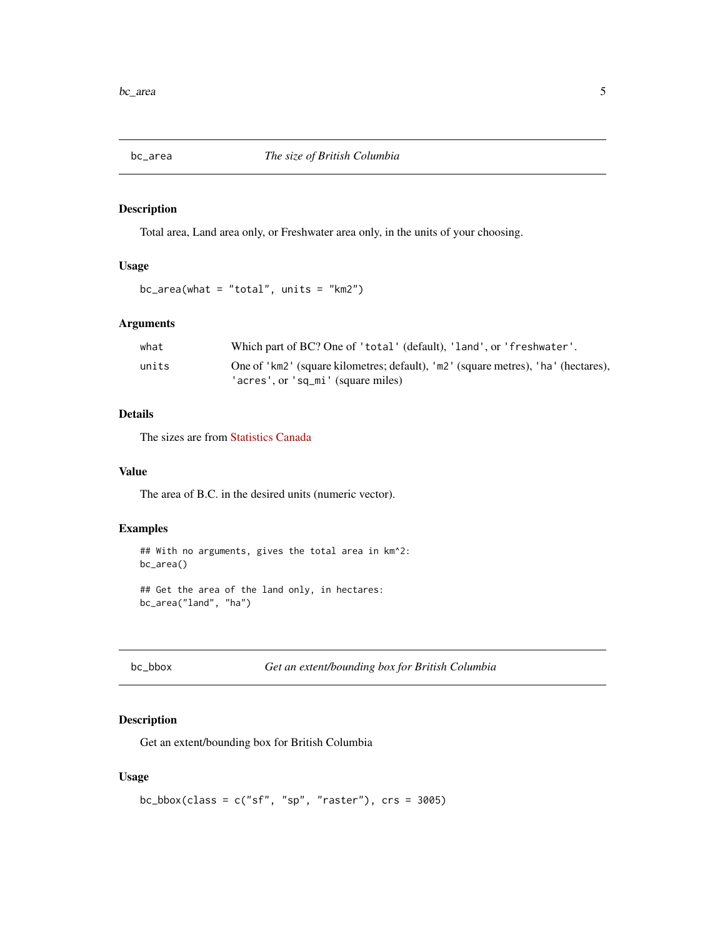<span id="page-4-0"></span>

Total area, Land area only, or Freshwater area only, in the units of your choosing.

# Usage

```
bc_area(what = "total", units = "km2")
```
# Arguments

| what  | Which part of BC? One of 'total' (default), 'land', or 'freshwater'.                                                    |
|-------|-------------------------------------------------------------------------------------------------------------------------|
| units | One of 'km2' (square kilometres; default), 'm2' (square metres), 'ha' (hectares),<br>'acres', or 'sq_mi' (square miles) |
|       |                                                                                                                         |

# Details

The sizes are from [Statistics Canada](http://www.statcan.gc.ca/tables-tableaux/sum-som/l01/cst01/phys01-eng.htm)

#### Value

The area of B.C. in the desired units (numeric vector).

## Examples

```
## With no arguments, gives the total area in km^2:
bc_area()
## Get the area of the land only, in hectares:
bc_area("land", "ha")
```
# Description

Get an extent/bounding box for British Columbia

### Usage

```
bc_bbox(class = c("sf", "sp", "raster"), crs = 3005)
```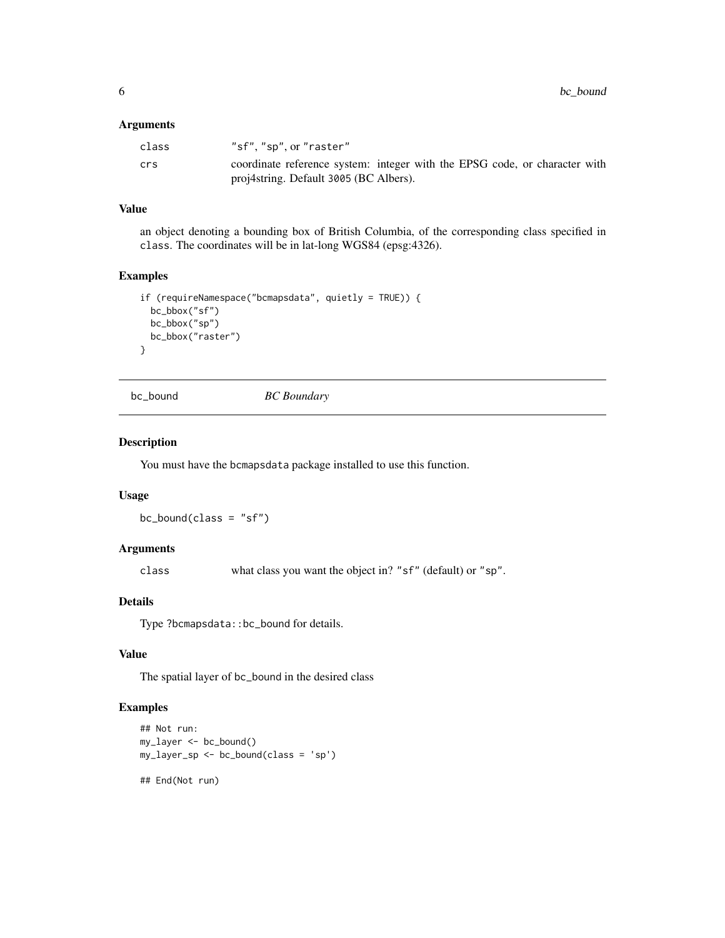#### <span id="page-5-0"></span>Arguments

| class | "sf", "sp", or "raster"                                                    |
|-------|----------------------------------------------------------------------------|
| crs   | coordinate reference system: integer with the EPSG code, or character with |
|       | proj4string. Default 3005 (BC Albers).                                     |

# Value

an object denoting a bounding box of British Columbia, of the corresponding class specified in class. The coordinates will be in lat-long WGS84 (epsg:4326).

#### Examples

```
if (requireNamespace("bcmapsdata", quietly = TRUE)) {
 bc_bbox("sf")
 bc_bbox("sp")
 bc_bbox("raster")
}
```
bc\_bound *BC Boundary*

# Description

You must have the bcmapsdata package installed to use this function.

#### Usage

 $bc\_bound(class = "sf")$ 

# Arguments

class what class you want the object in? "sf" (default) or "sp".

# Details

Type ?bcmapsdata::bc\_bound for details.

# Value

The spatial layer of bc\_bound in the desired class

```
## Not run:
my_layer <- bc_bound()
my_layer_sp <- bc_bound(class = 'sp')
```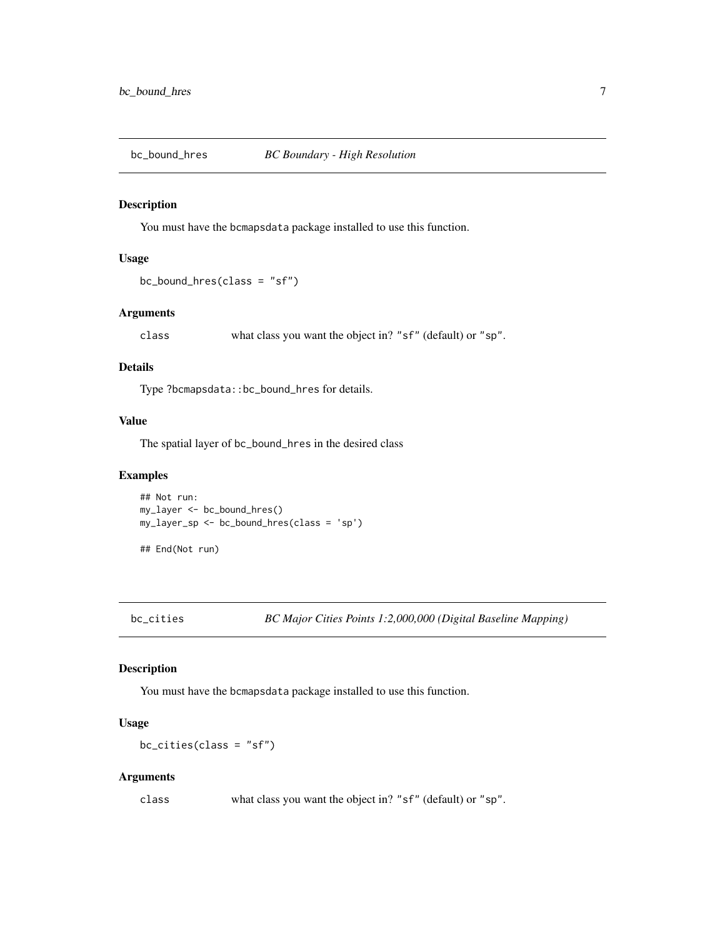<span id="page-6-0"></span>

You must have the bcmapsdata package installed to use this function.

# Usage

```
bc\_bound\_hres(class = "sf")
```
# Arguments

class what class you want the object in? "sf" (default) or "sp".

#### Details

Type ?bcmapsdata::bc\_bound\_hres for details.

#### Value

The spatial layer of bc\_bound\_hres in the desired class

# Examples

## Not run: my\_layer <- bc\_bound\_hres() my\_layer\_sp <- bc\_bound\_hres(class = 'sp')

## End(Not run)

bc\_cities *BC Major Cities Points 1:2,000,000 (Digital Baseline Mapping)*

#### Description

You must have the bcmapsdata package installed to use this function.

# Usage

bc\_cities(class = "sf")

#### Arguments

class what class you want the object in? "sf" (default) or "sp".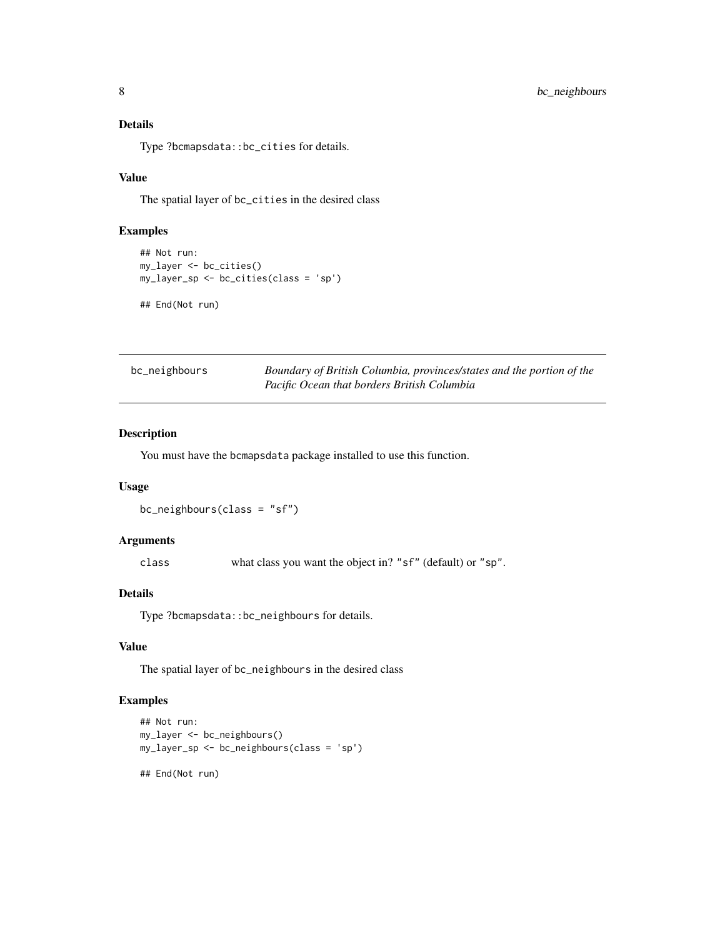# <span id="page-7-0"></span>Details

Type ?bcmapsdata::bc\_cities for details.

# Value

The spatial layer of bc\_cities in the desired class

# Examples

```
## Not run:
my_layer <- bc_cities()
my_layer_sp <- bc_cities(class = 'sp')
## End(Not run)
```

| bc_neighbours | Boundary of British Columbia, provinces/states and the portion of the |
|---------------|-----------------------------------------------------------------------|
|               | Pacific Ocean that borders British Columbia                           |

# Description

You must have the bcmapsdata package installed to use this function.

# Usage

```
bc_neighbours(class = "sf")
```
#### Arguments

class what class you want the object in? "sf" (default) or "sp".

#### Details

Type ?bcmapsdata::bc\_neighbours for details.

# Value

The spatial layer of bc\_neighbours in the desired class

```
## Not run:
my_layer <- bc_neighbours()
my_layer_sp <- bc_neighbours(class = 'sp')
## End(Not run)
```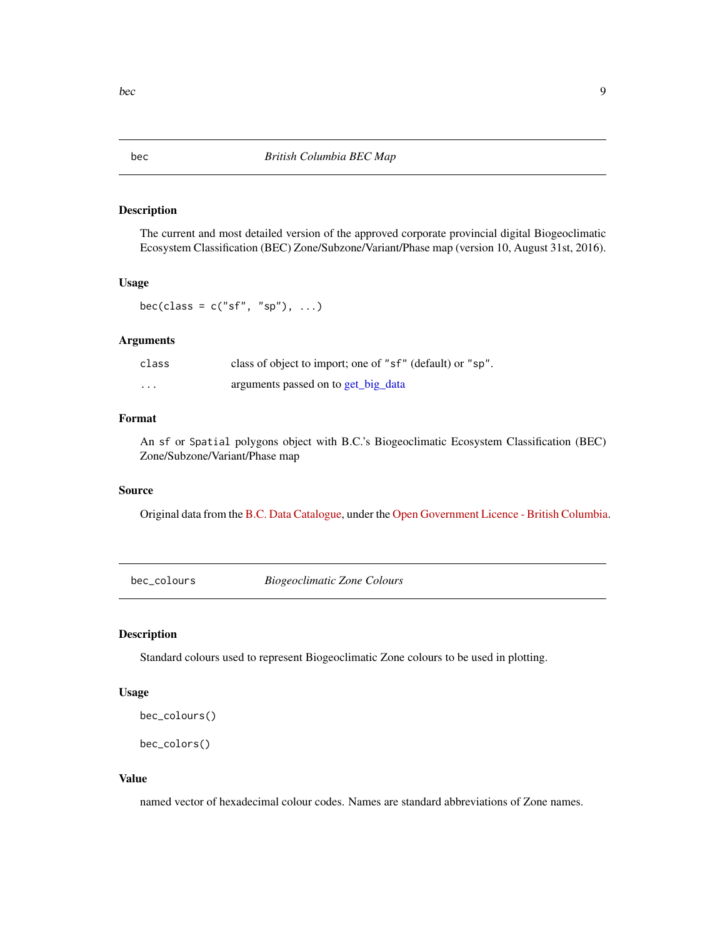The current and most detailed version of the approved corporate provincial digital Biogeoclimatic Ecosystem Classification (BEC) Zone/Subzone/Variant/Phase map (version 10, August 31st, 2016).

#### Usage

bec(class =  $c("sf", "sp"), ...$ )

#### Arguments

| class | class of object to import; one of "sf" (default) or "sp". |
|-------|-----------------------------------------------------------|
| .     | arguments passed on to get_big_data                       |

#### Format

An sf or Spatial polygons object with B.C.'s Biogeoclimatic Ecosystem Classification (BEC) Zone/Subzone/Variant/Phase map

#### Source

Original data from the [B.C. Data Catalogue,](https://catalogue.data.gov.bc.ca/dataset/f358a53b-ffde-4830-a325-a5a03ff672c3) under the [Open Government Licence - British Columbia.](https://www2.gov.bc.ca/gov/content?id=A519A56BC2BF44E4A008B33FCF527F61)

bec\_colours *Biogeoclimatic Zone Colours*

# Description

Standard colours used to represent Biogeoclimatic Zone colours to be used in plotting.

#### Usage

bec\_colours()

bec\_colors()

#### Value

named vector of hexadecimal colour codes. Names are standard abbreviations of Zone names.

<span id="page-8-0"></span>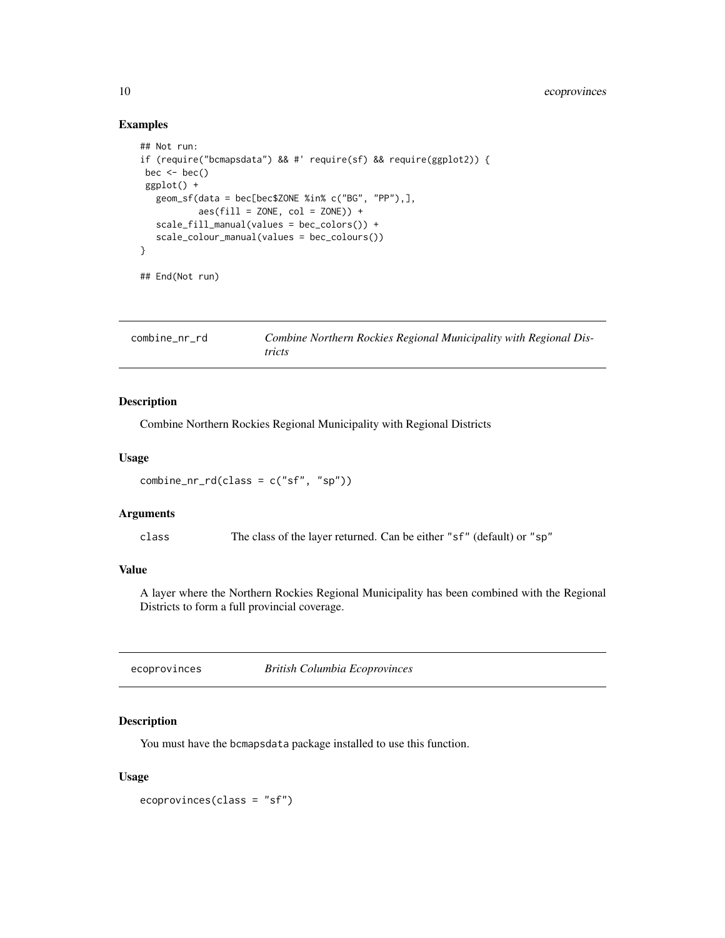# Examples

```
## Not run:
if (require("bcmapsdata") && #' require(sf) && require(ggplot2)) {
bec \leftarrow bec()ggplot() +
  geom_sf(data = bec[bec$ZONE %in% c("BG", "PP"),],
           aes(fill = ZONE, col = ZONE) +
  scale_fill_manual(values = bec_colors()) +
   scale_colour_manual(values = bec_colours())
}
## End(Not run)
```
<span id="page-9-1"></span>

| combine nr rd | Combine Northern Rockies Regional Municipality with Regional Dis- |
|---------------|-------------------------------------------------------------------|
|               | tricts                                                            |

#### Description

Combine Northern Rockies Regional Municipality with Regional Districts

#### Usage

```
combine_nr_rd(class = c("sf", "sp"))
```
# Arguments

class The class of the layer returned. Can be either "sf" (default) or "sp"

# Value

A layer where the Northern Rockies Regional Municipality has been combined with the Regional Districts to form a full provincial coverage.

ecoprovinces *British Columbia Ecoprovinces*

#### Description

You must have the bcmapsdata package installed to use this function.

### Usage

ecoprovinces(class = "sf")

<span id="page-9-0"></span>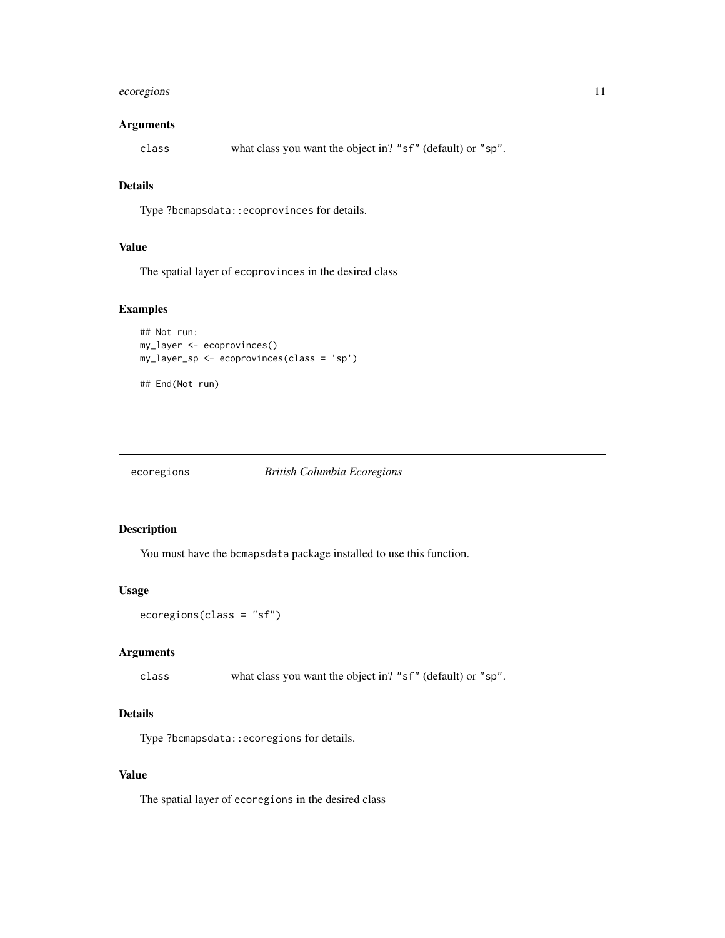# <span id="page-10-0"></span>ecoregions 11

# Arguments

class what class you want the object in? "sf" (default) or "sp".

# Details

Type ?bcmapsdata::ecoprovinces for details.

# Value

The spatial layer of ecoprovinces in the desired class

#### Examples

```
## Not run:
my_layer <- ecoprovinces()
my_layer_sp <- ecoprovinces(class = 'sp')
```

```
## End(Not run)
```
#### ecoregions *British Columbia Ecoregions*

#### Description

You must have the bcmapsdata package installed to use this function.

#### Usage

```
ecoregions(class = "sf")
```
#### Arguments

class what class you want the object in? "sf" (default) or "sp".

#### Details

Type ?bcmapsdata::ecoregions for details.

#### Value

The spatial layer of ecoregions in the desired class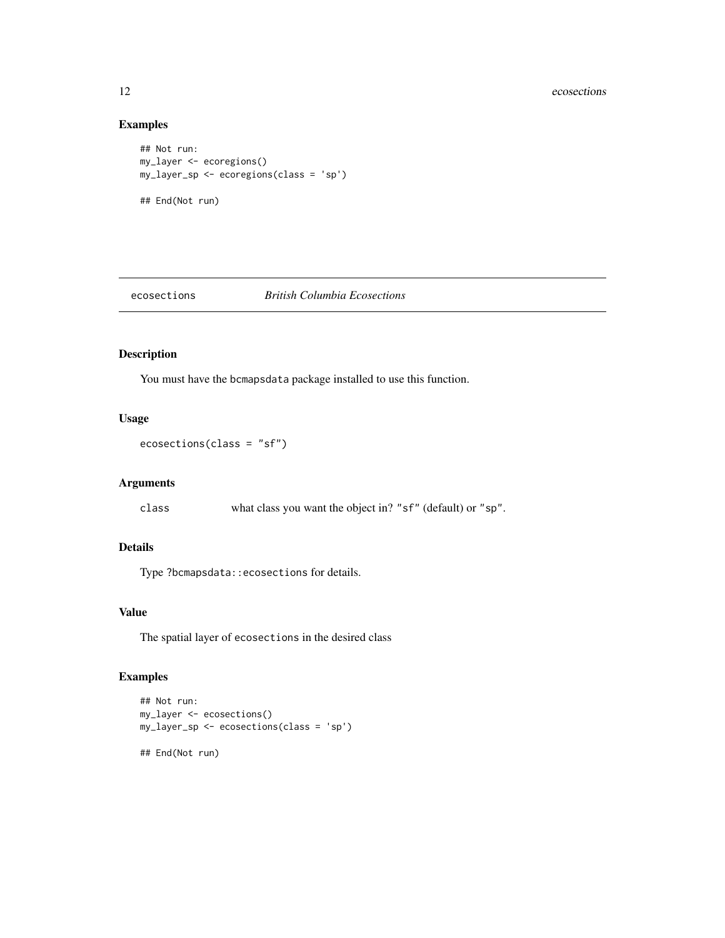#### 12 ecosections and  $\overline{a}$  ecosections and  $\overline{b}$  ecosections and  $\overline{b}$  ecosections and  $\overline{b}$  ecosections and  $\overline{b}$  existence of  $\overline{b}$  existence of  $\overline{b}$  existence of  $\overline{b}$  existence of  $\overline{b}$  existe

#### Examples

```
## Not run:
my_layer <- ecoregions()
my_layer_sp <- ecoregions(class = 'sp')
## End(Not run)
```
#### ecosections *British Columbia Ecosections*

# Description

You must have the bcmapsdata package installed to use this function.

# Usage

ecosections(class = "sf")

#### Arguments

class what class you want the object in? "sf" (default) or "sp".

# Details

Type ?bcmapsdata::ecosections for details.

#### Value

The spatial layer of ecosections in the desired class

```
## Not run:
my_layer <- ecosections()
my_layer_sp <- ecosections(class = 'sp')
## End(Not run)
```
<span id="page-11-0"></span>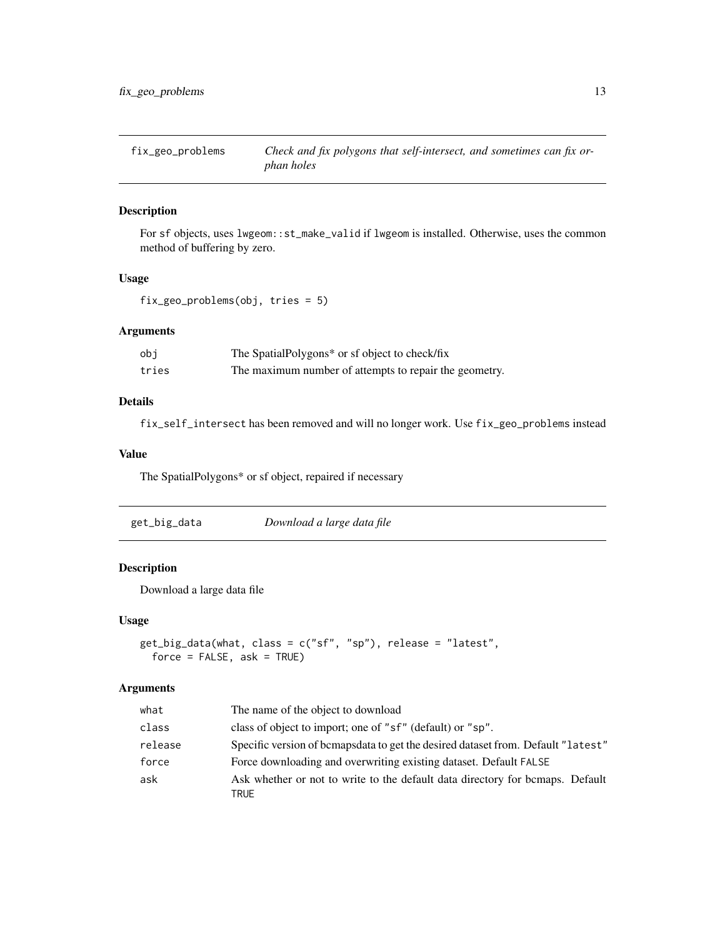<span id="page-12-0"></span>fix\_geo\_problems *Check and fix polygons that self-intersect, and sometimes can fix orphan holes*

#### Description

For sf objects, uses lwgeom::st\_make\_valid if lwgeom is installed. Otherwise, uses the common method of buffering by zero.

#### Usage

fix\_geo\_problems(obj, tries = 5)

# Arguments

| obi   | The SpatialPolygons* or sf object to check/fix         |
|-------|--------------------------------------------------------|
| tries | The maximum number of attempts to repair the geometry. |

#### Details

fix\_self\_intersect has been removed and will no longer work. Use fix\_geo\_problems instead

#### Value

The SpatialPolygons\* or sf object, repaired if necessary

<span id="page-12-1"></span>

| get_big_data | Download a large data file |
|--------------|----------------------------|
|--------------|----------------------------|

#### Description

Download a large data file

#### Usage

```
get_big_data(what, class = c("sf", "sp"), release = "latest",
 force = FALSE, ask = TRUE)
```
#### Arguments

| what    | The name of the object to download                                                    |
|---------|---------------------------------------------------------------------------------------|
| class   | class of object to import; one of "sf" (default) or "sp".                             |
| release | Specific version of bemaps data to get the desired dataset from. Default "latest"     |
| force   | Force downloading and overwriting existing dataset. Default FALSE                     |
| ask     | Ask whether or not to write to the default data directory for bemaps. Default<br>TRUE |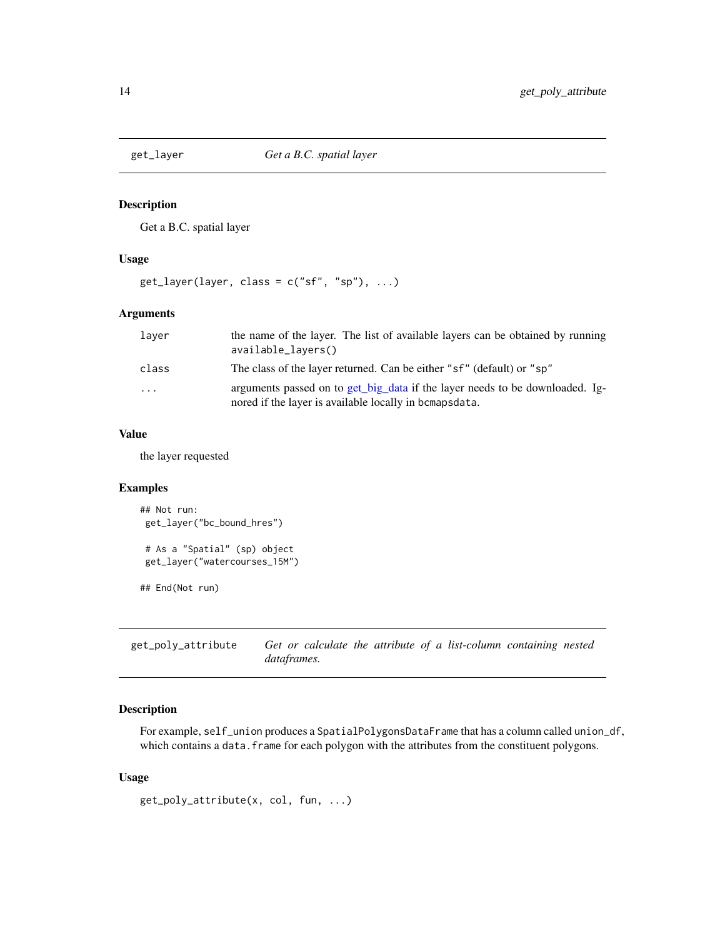<span id="page-13-0"></span>

Get a B.C. spatial layer

#### Usage

 $get_{layer}(layer, class = c("sf", "sp"), ...)$ 

#### Arguments

| laver    | the name of the layer. The list of available layers can be obtained by running<br>available_layers()                                   |
|----------|----------------------------------------------------------------------------------------------------------------------------------------|
| class    | The class of the layer returned. Can be either "sf" (default) or "sp"                                                                  |
| $\cdots$ | arguments passed on to get big data if the layer needs to be downloaded. Ig-<br>nored if the layer is available locally in bomapsdata. |

#### Value

the layer requested

# Examples

```
## Not run:
get_layer("bc_bound_hres")
# As a "Spatial" (sp) object
get_layer("watercourses_15M")
## End(Not run)
```
get\_poly\_attribute *Get or calculate the attribute of a list-column containing nested dataframes.*

# Description

For example, self\_union produces a SpatialPolygonsDataFrame that has a column called union\_df, which contains a data. frame for each polygon with the attributes from the constituent polygons.

#### Usage

```
get_poly_attribute(x, col, fun, ...)
```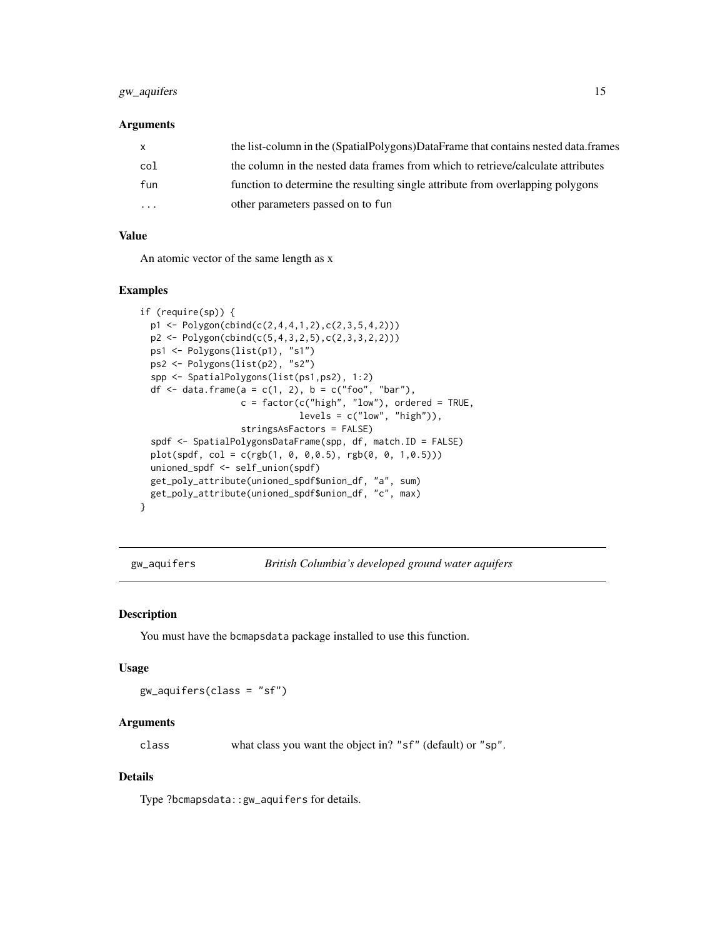# <span id="page-14-0"></span>gw\_aquifers 15

#### Arguments

| $\mathsf{x}$ | the list-column in the (SpatialPolygons)DataFrame that contains nested data.frames |
|--------------|------------------------------------------------------------------------------------|
| col          | the column in the nested data frames from which to retrieve/calculate attributes   |
| fun          | function to determine the resulting single attribute from overlapping polygons     |
| $\cdot$      | other parameters passed on to fun                                                  |

# Value

An atomic vector of the same length as x

#### Examples

```
if (require(sp)) {
 p1 <- Polygon(cbind(c(2,4,4,1,2),c(2,3,5,4,2)))
 p2 <- Polygon(cbind(c(5,4,3,2,5),c(2,3,3,2,2)))
 ps1 <- Polygons(list(p1), "s1")
 ps2 <- Polygons(list(p2), "s2")
 spp <- SpatialPolygons(list(ps1,ps2), 1:2)
 df <- data.frame(a = c(1, 2), b = c("foo", "bar"),c = factor(c("high", "low"), ordered = TRUE,levels = c("low", "high")),
                   stringsAsFactors = FALSE)
 spdf <- SpatialPolygonsDataFrame(spp, df, match.ID = FALSE)
 plot(spdf, col = c(rgb(1, 0, 0,0.5), rgb(0, 0, 1,0.5)))
 unioned_spdf <- self_union(spdf)
 get_poly_attribute(unioned_spdf$union_df, "a", sum)
 get_poly_attribute(unioned_spdf$union_df, "c", max)
}
```
gw\_aquifers *British Columbia's developed ground water aquifers*

#### Description

You must have the bcmapsdata package installed to use this function.

#### Usage

gw\_aquifers(class = "sf")

# Arguments

class what class you want the object in? "sf" (default) or "sp".

#### Details

Type ?bcmapsdata::gw\_aquifers for details.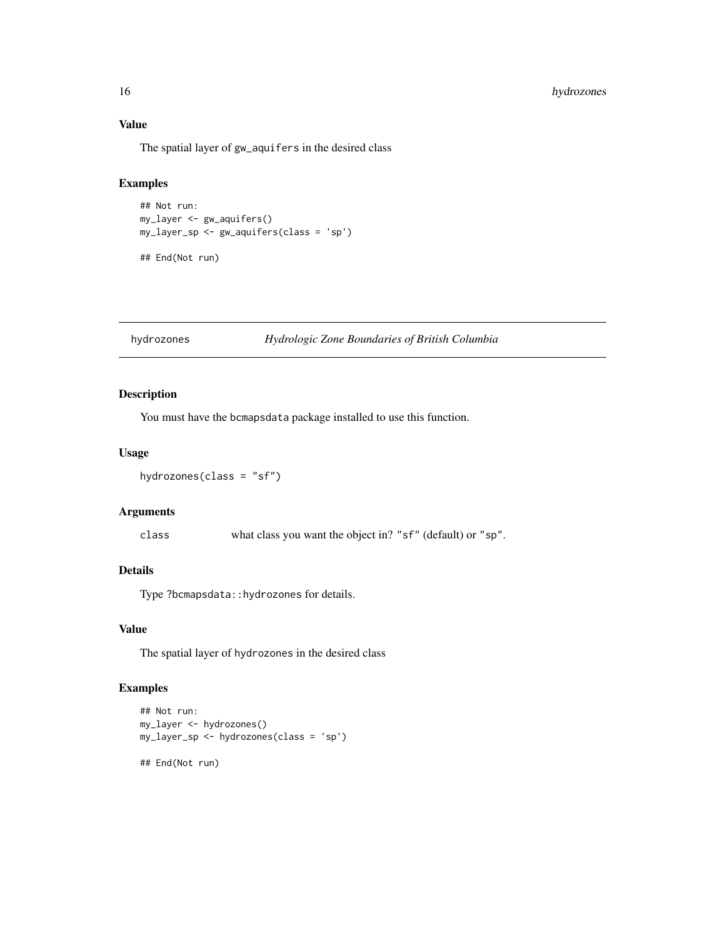# Value

The spatial layer of gw\_aquifers in the desired class

# Examples

```
## Not run:
my_layer <- gw_aquifers()
my_layer_sp <- gw_aquifers(class = 'sp')
```
## End(Not run)

# Description

You must have the bcmapsdata package installed to use this function.

#### Usage

```
hydrozones(class = "sf")
```
#### Arguments

class what class you want the object in? "sf" (default) or "sp".

# Details

Type ?bcmapsdata:: hydrozones for details.

#### Value

The spatial layer of hydrozones in the desired class

# Examples

```
## Not run:
my_layer <- hydrozones()
my_layer_sp <- hydrozones(class = 'sp')
```
## End(Not run)

<span id="page-15-0"></span>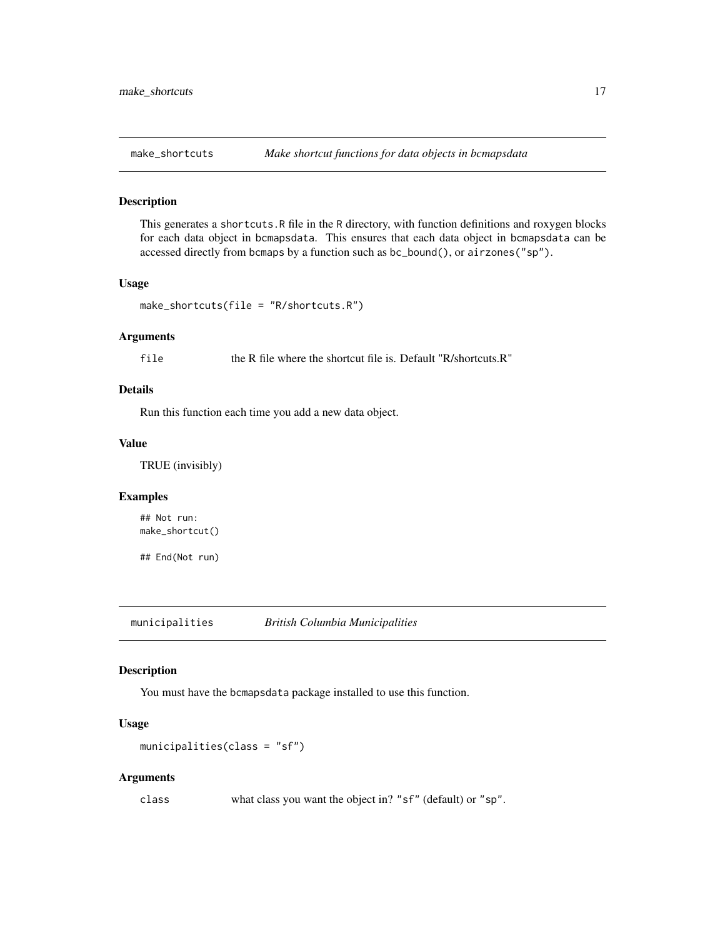<span id="page-16-0"></span>

This generates a shortcuts.R file in the R directory, with function definitions and roxygen blocks for each data object in bcmapsdata. This ensures that each data object in bcmapsdata can be accessed directly from bcmaps by a function such as bc\_bound(), or airzones("sp").

#### Usage

```
make_shortcuts(file = "R/shortcuts.R")
```
#### Arguments

file the R file where the shortcut file is. Default "R/shortcuts.R"

#### Details

Run this function each time you add a new data object.

#### Value

TRUE (invisibly)

# Examples

## Not run: make\_shortcut()

## End(Not run)

municipalities *British Columbia Municipalities*

#### Description

You must have the bcmapsdata package installed to use this function.

# Usage

```
municipalities(class = "sf")
```
#### Arguments

class what class you want the object in? "sf" (default) or "sp".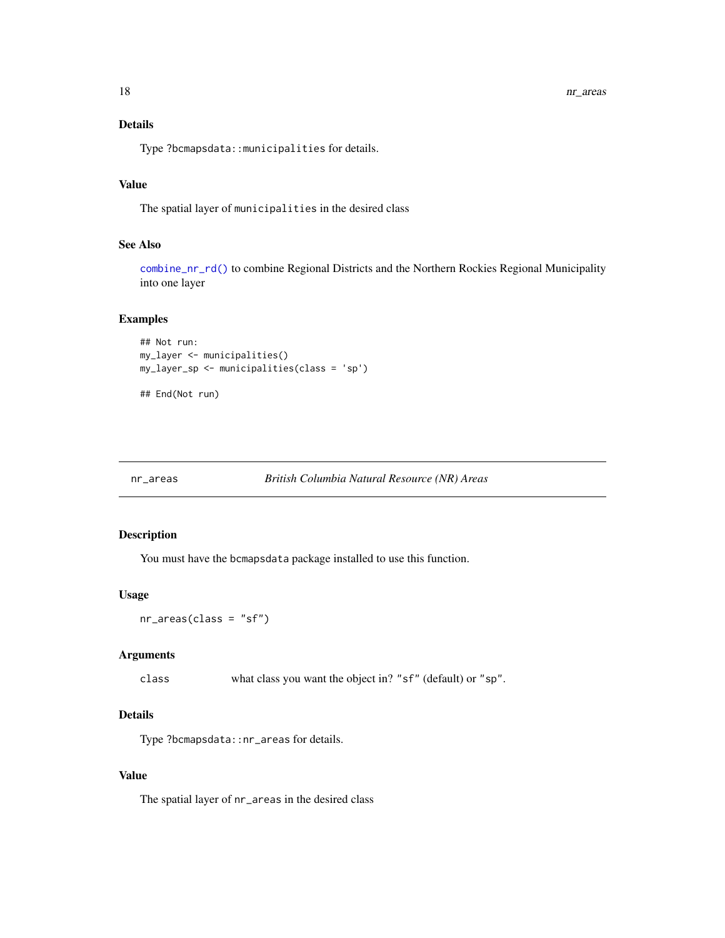# Details

Type ?bcmapsdata::municipalities for details.

#### Value

The spatial layer of municipalities in the desired class

# See Also

[combine\\_nr\\_rd\(\)](#page-9-1) to combine Regional Districts and the Northern Rockies Regional Municipality into one layer

#### Examples

```
## Not run:
my_layer <- municipalities()
my_layer_sp <- municipalities(class = 'sp')
```
## End(Not run)

```
nr_areas British Columbia Natural Resource (NR) Areas
```
#### Description

You must have the bcmapsdata package installed to use this function.

#### Usage

nr\_areas(class = "sf")

# Arguments

class what class you want the object in? "sf" (default) or "sp".

#### Details

Type ?bcmapsdata::nr\_areas for details.

#### Value

The spatial layer of nr\_areas in the desired class

<span id="page-17-0"></span>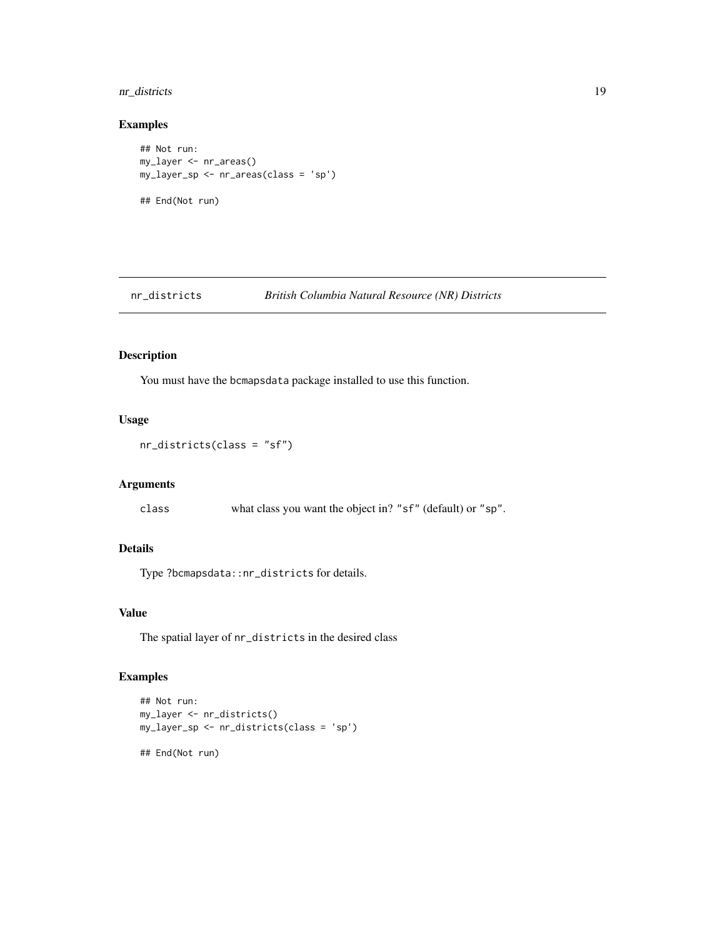# <span id="page-18-0"></span>nr\_districts 19

#### Examples

```
## Not run:
my_layer <- nr_areas()
my_layer_sp <- nr_areas(class = 'sp')
## End(Not run)
```
nr\_districts *British Columbia Natural Resource (NR) Districts*

#### Description

You must have the bcmapsdata package installed to use this function.

# Usage

nr\_districts(class = "sf")

#### Arguments

class what class you want the object in? "sf" (default) or "sp".

# Details

Type ?bcmapsdata::nr\_districts for details.

#### Value

The spatial layer of nr\_districts in the desired class

```
## Not run:
my_layer <- nr_districts()
my_layer_sp <- nr_districts(class = 'sp')
## End(Not run)
```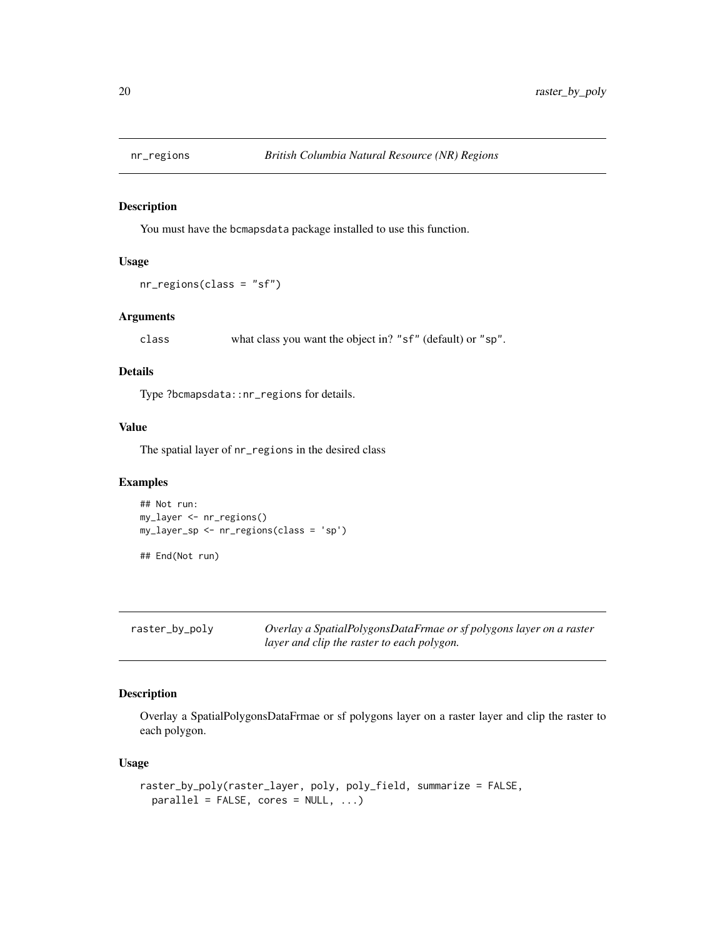<span id="page-19-0"></span>

You must have the bcmapsdata package installed to use this function.

# Usage

```
nr_regions(class = "sf")
```
#### Arguments

class what class you want the object in? "sf" (default) or "sp".

#### Details

Type ?bcmapsdata::nr\_regions for details.

#### Value

The spatial layer of nr\_regions in the desired class

# Examples

```
## Not run:
my_layer <- nr_regions()
my_layer_sp <- nr_regions(class = 'sp')
```
## End(Not run)

| raster_by_poly | Overlay a SpatialPolygonsDataFrmae or sf polygons layer on a raster |
|----------------|---------------------------------------------------------------------|
|                | layer and clip the raster to each polygon.                          |

# Description

Overlay a SpatialPolygonsDataFrmae or sf polygons layer on a raster layer and clip the raster to each polygon.

## Usage

```
raster_by_poly(raster_layer, poly, poly_field, summarize = FALSE,
 parallel = FALSE, cores = NULL, ...)
```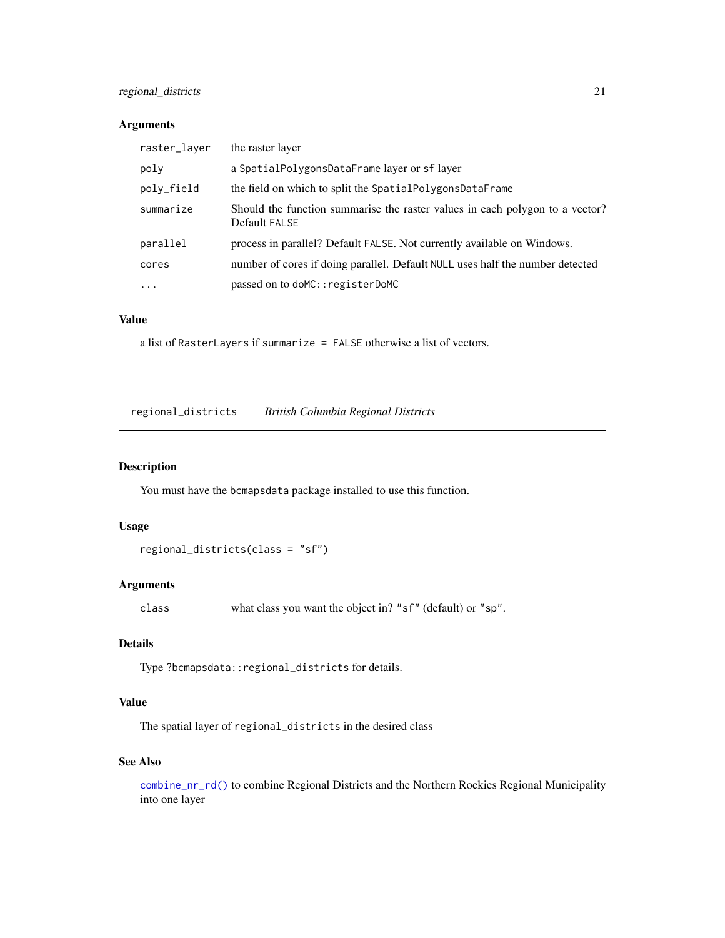# <span id="page-20-0"></span>regional\_districts 21

#### Arguments

| raster_layer | the raster layer                                                                              |
|--------------|-----------------------------------------------------------------------------------------------|
| poly         | a SpatialPolygonsDataFrame layer or sflayer                                                   |
| poly_field   | the field on which to split the SpatialPolygonsDataFrame                                      |
| summarize    | Should the function summarise the raster values in each polygon to a vector?<br>Default FALSE |
| parallel     | process in parallel? Default FALSE. Not currently available on Windows.                       |
| cores        | number of cores if doing parallel. Default NULL uses half the number detected                 |
| $\cdot$      | passed on to doMC:: registerDoMC                                                              |

# Value

a list of RasterLayers if summarize = FALSE otherwise a list of vectors.

regional\_districts *British Columbia Regional Districts*

# Description

You must have the bcmapsdata package installed to use this function.

#### Usage

regional\_districts(class = "sf")

#### Arguments

class what class you want the object in? "sf" (default) or "sp".

#### Details

Type ?bcmapsdata::regional\_districts for details.

#### Value

The spatial layer of regional\_districts in the desired class

# See Also

[combine\\_nr\\_rd\(\)](#page-9-1) to combine Regional Districts and the Northern Rockies Regional Municipality into one layer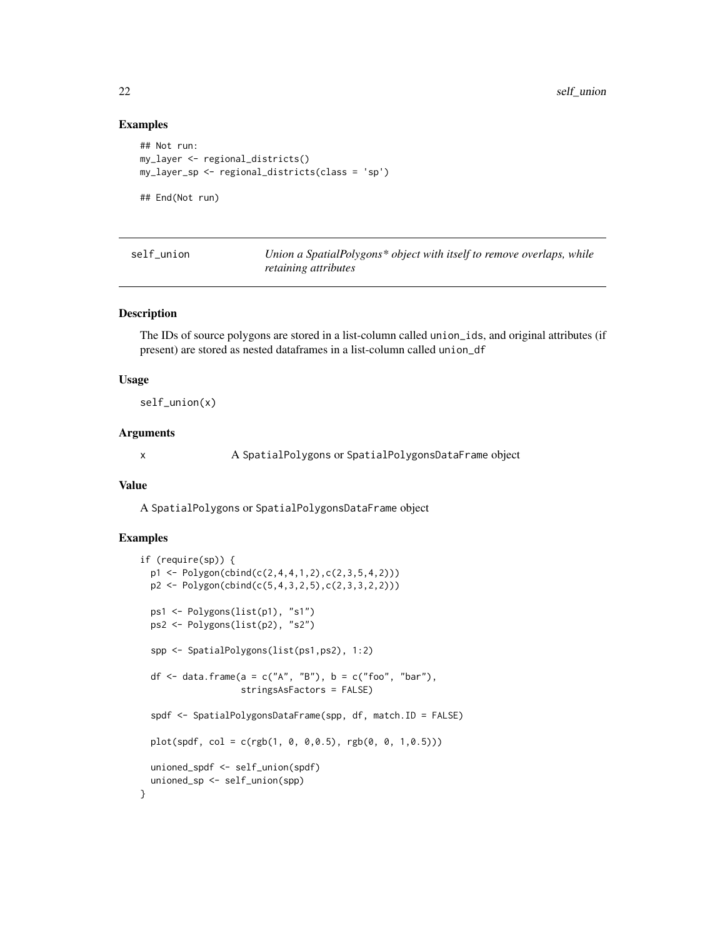#### Examples

```
## Not run:
my_layer <- regional_districts()
my_layer_sp <- regional_districts(class = 'sp')
## End(Not run)
```

| self union |
|------------|
|            |
|            |

Union a SpatialPolygons\* object with itself to remove overlaps, while *retaining attributes*

# Description

The IDs of source polygons are stored in a list-column called union\_ids, and original attributes (if present) are stored as nested dataframes in a list-column called union\_df

#### Usage

self\_union(x)

#### Arguments

x A SpatialPolygons or SpatialPolygonsDataFrame object

#### Value

A SpatialPolygons or SpatialPolygonsDataFrame object

```
if (require(sp)) {
 p1 <- Polygon(cbind(c(2,4,4,1,2),c(2,3,5,4,2)))
 p2 <- Polygon(cbind(c(5,4,3,2,5),c(2,3,3,2,2)))
 ps1 <- Polygons(list(p1), "s1")
 ps2 <- Polygons(list(p2), "s2")
 spp <- SpatialPolygons(list(ps1,ps2), 1:2)
 df \le data.frame(a = c("A", "B"), b = c("foo", "bar"),
                   stringsAsFactors = FALSE)
 spdf <- SpatialPolygonsDataFrame(spp, df, match.ID = FALSE)
 plot(spdf, col = c(rgb(1, 0, 0, 0.5), rgb(0, 0, 1, 0.5)))unioned_spdf <- self_union(spdf)
 unioned_sp <- self_union(spp)
}
```
<span id="page-21-0"></span>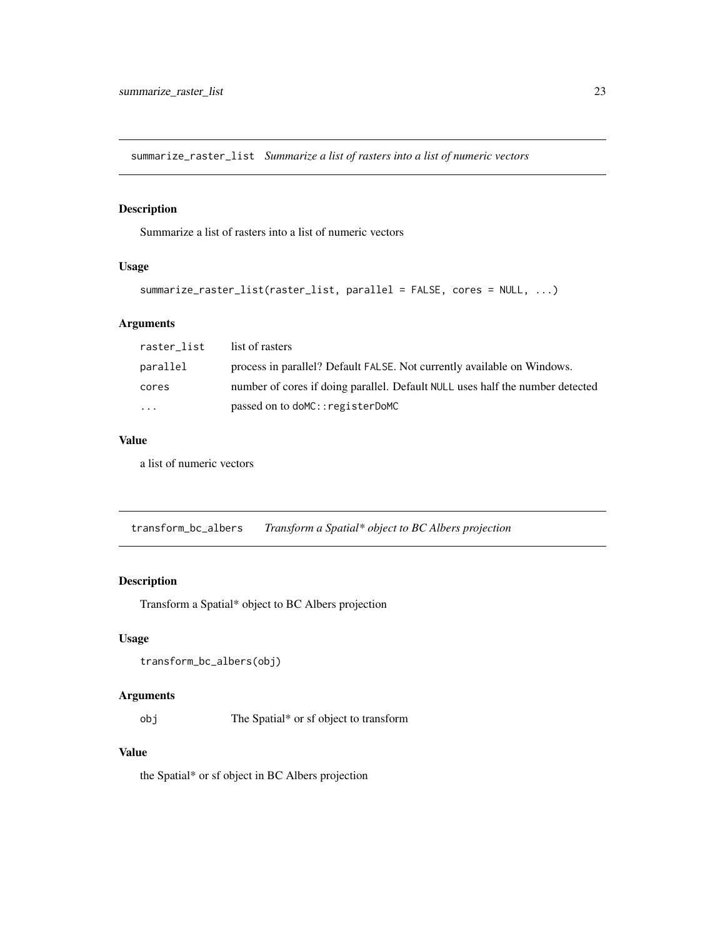<span id="page-22-0"></span>summarize\_raster\_list *Summarize a list of rasters into a list of numeric vectors*

## Description

Summarize a list of rasters into a list of numeric vectors

# Usage

```
summarize_raster_list(raster_list, parallel = FALSE, cores = NULL, ...)
```
# Arguments

| raster_list             | list of rasters                                                               |
|-------------------------|-------------------------------------------------------------------------------|
| parallel                | process in parallel? Default FALSE. Not currently available on Windows.       |
| cores                   | number of cores if doing parallel. Default NULL uses half the number detected |
| $\cdot$ $\cdot$ $\cdot$ | passed on to doMC:: registerDoMC                                              |

#### Value

a list of numeric vectors

transform\_bc\_albers *Transform a Spatial\* object to BC Albers projection*

#### Description

Transform a Spatial\* object to BC Albers projection

# Usage

```
transform_bc_albers(obj)
```
# Arguments

obj The Spatial\* or sf object to transform

#### Value

the Spatial\* or sf object in BC Albers projection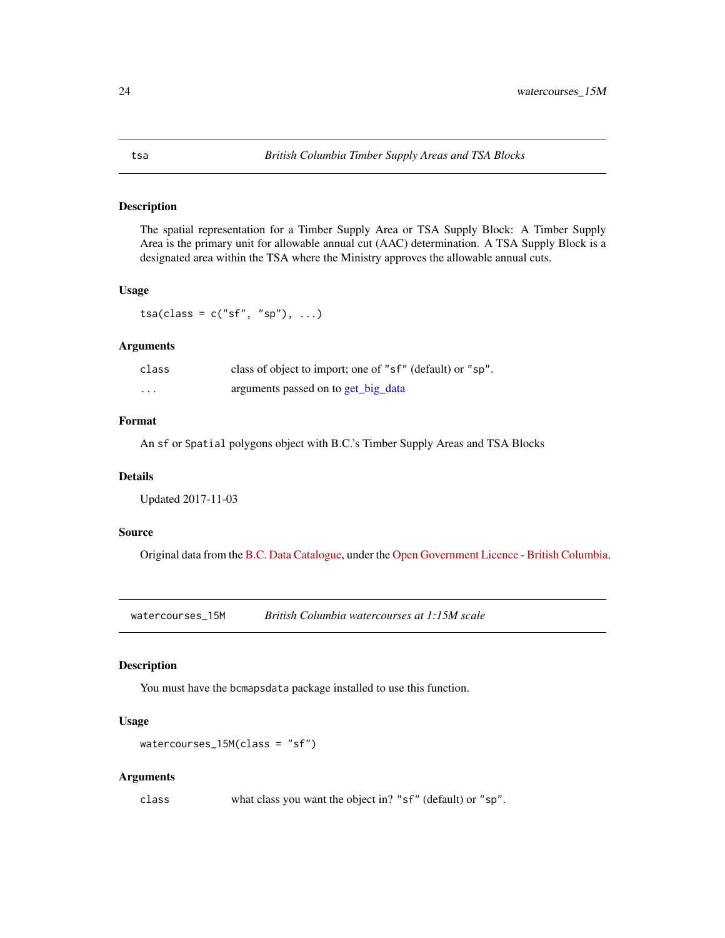<span id="page-23-0"></span>The spatial representation for a Timber Supply Area or TSA Supply Block: A Timber Supply Area is the primary unit for allowable annual cut (AAC) determination. A TSA Supply Block is a designated area within the TSA where the Ministry approves the allowable annual cuts.

#### Usage

 $tsa(class = c("sf", "sp"), ...)$ 

# Arguments

| class    | class of object to import; one of "sf" (default) or "sp". |
|----------|-----------------------------------------------------------|
| $\cdots$ | arguments passed on to get_big_data                       |

#### Format

An sf or Spatial polygons object with B.C.'s Timber Supply Areas and TSA Blocks

#### Details

Updated 2017-11-03

#### Source

Original data from the [B.C. Data Catalogue,](https://catalogue.data.gov.bc.ca/dataset/8daa29da-d7f4-401c-83ae-d962e3a28980) under the [Open Government Licence - British Columbia.](https://www2.gov.bc.ca/gov/content?id=A519A56BC2BF44E4A008B33FCF527F61)

watercourses\_15M *British Columbia watercourses at 1:15M scale*

#### Description

You must have the bcmapsdata package installed to use this function.

#### Usage

```
watercourses_15M(class = "sf")
```
#### Arguments

class what class you want the object in? "sf" (default) or "sp".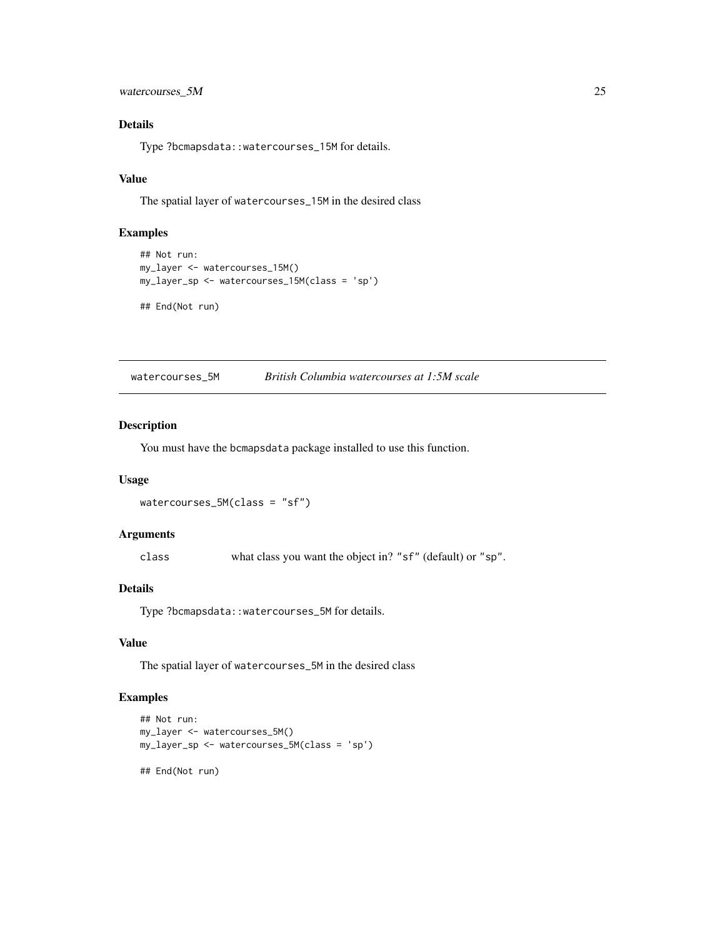<span id="page-24-0"></span>watercourses\_5M 25

# Details

Type ?bcmapsdata::watercourses\_15M for details.

# Value

The spatial layer of watercourses\_15M in the desired class

# Examples

```
## Not run:
my_layer <- watercourses_15M()
my_layer_sp <- watercourses_15M(class = 'sp')
## End(Not run)
```
watercourses\_5M *British Columbia watercourses at 1:5M scale*

#### Description

You must have the bcmapsdata package installed to use this function.

#### Usage

```
watercourses_5M(class = "sf")
```
# Arguments

class what class you want the object in? "sf" (default) or "sp".

# Details

Type ?bcmapsdata::watercourses\_5M for details.

#### Value

The spatial layer of watercourses\_5M in the desired class

```
## Not run:
my_layer <- watercourses_5M()
my_layer_sp <- watercourses_5M(class = 'sp')
## End(Not run)
```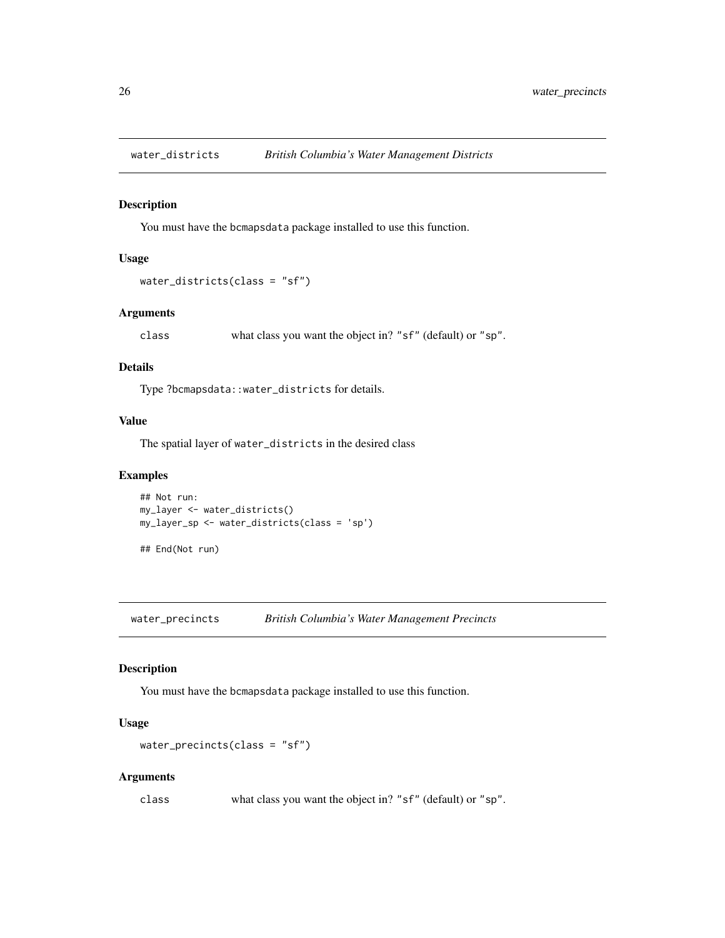<span id="page-25-0"></span>

You must have the bcmapsdata package installed to use this function.

#### Usage

```
water_districts(class = "sf")
```
# Arguments

class what class you want the object in? "sf" (default) or "sp".

#### Details

Type ?bcmapsdata::water\_districts for details.

#### Value

The spatial layer of water\_districts in the desired class

# Examples

```
## Not run:
my_layer <- water_districts()
my_layer_sp <- water_districts(class = 'sp')
```
## End(Not run)

water\_precincts *British Columbia's Water Management Precincts*

#### Description

You must have the bcmapsdata package installed to use this function.

# Usage

```
water_precincts(class = "sf")
```
#### Arguments

class what class you want the object in? "sf" (default) or "sp".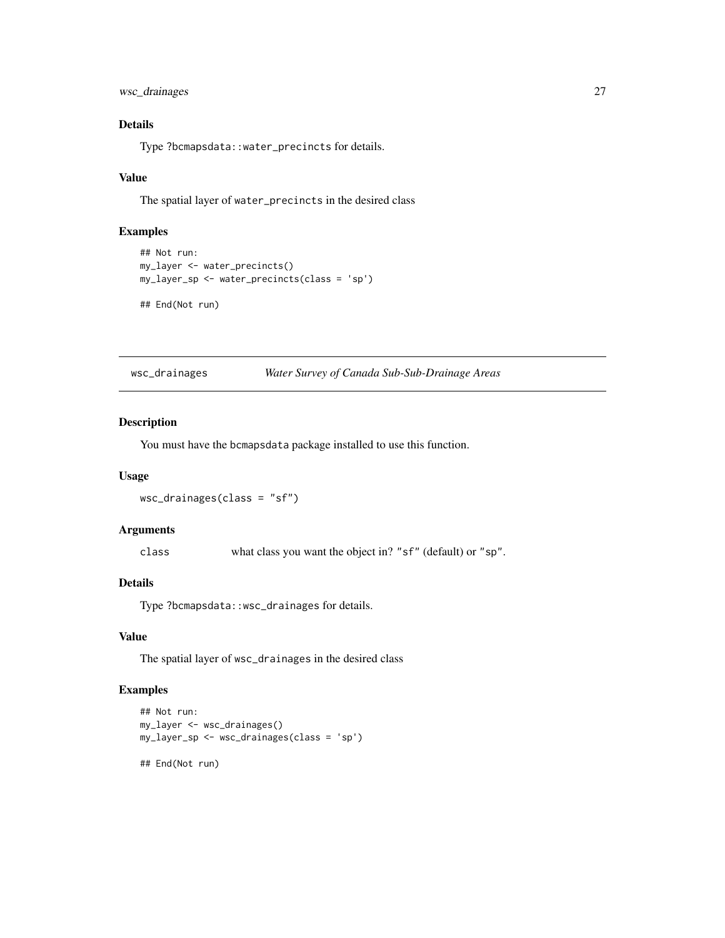<span id="page-26-0"></span>wsc\_drainages 27

# Details

Type ?bcmapsdata::water\_precincts for details.

#### Value

The spatial layer of water\_precincts in the desired class

#### Examples

```
## Not run:
my_layer <- water_precincts()
my_layer_sp <- water_precincts(class = 'sp')
## End(Not run)
```
wsc\_drainages *Water Survey of Canada Sub-Sub-Drainage Areas*

#### Description

You must have the bcmapsdata package installed to use this function.

#### Usage

```
wsc_drainages(class = "sf")
```
# Arguments

class what class you want the object in? "sf" (default) or "sp".

# Details

Type ?bcmapsdata::wsc\_drainages for details.

#### Value

The spatial layer of wsc\_drainages in the desired class

```
## Not run:
my_layer <- wsc_drainages()
my_layer_sp <- wsc_drainages(class = 'sp')
## End(Not run)
```